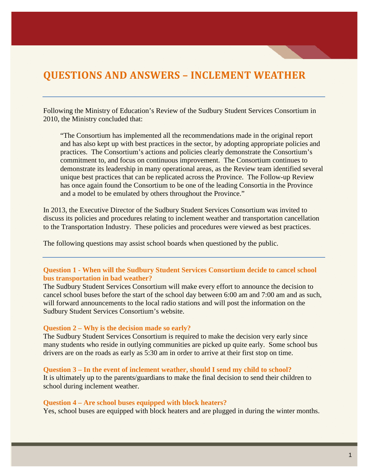# **QUESTIONS AND ANSWERS – INCLEMENT WEATHER**

Following the Ministry of Education's Review of the Sudbury Student Services Consortium in 2010, the Ministry concluded that:

"The Consortium has implemented all the recommendations made in the original report and has also kept up with best practices in the sector, by adopting appropriate policies and practices. The Consortium's actions and policies clearly demonstrate the Consortium's commitment to, and focus on continuous improvement. The Consortium continues to demonstrate its leadership in many operational areas, as the Review team identified several unique best practices that can be replicated across the Province. The Follow-up Review has once again found the Consortium to be one of the leading Consortia in the Province and a model to be emulated by others throughout the Province."

In 2013, the Executive Director of the Sudbury Student Services Consortium was invited to discuss its policies and procedures relating to inclement weather and transportation cancellation to the Transportation Industry. These policies and procedures were viewed as best practices.

The following questions may assist school boards when questioned by the public.

## **Question 1 - When will the Sudbury Student Services Consortium decide to cancel school bus transportation in bad weather?**

The Sudbury Student Services Consortium will make every effort to announce the decision to cancel school buses before the start of the school day between 6:00 am and 7:00 am and as such, will forward announcements to the local radio stations and will post the information on the Sudbury Student Services Consortium's website.

#### **Question 2 – Why is the decision made so early?**

The Sudbury Student Services Consortium is required to make the decision very early since many students who reside in outlying communities are picked up quite early. Some school bus drivers are on the roads as early as 5:30 am in order to arrive at their first stop on time.

#### **Question 3 – In the event of inclement weather, should I send my child to school?**

It is ultimately up to the parents/guardians to make the final decision to send their children to school during inclement weather.

#### **Question 4 – Are school buses equipped with block heaters?**

Yes, school buses are equipped with block heaters and are plugged in during the winter months.